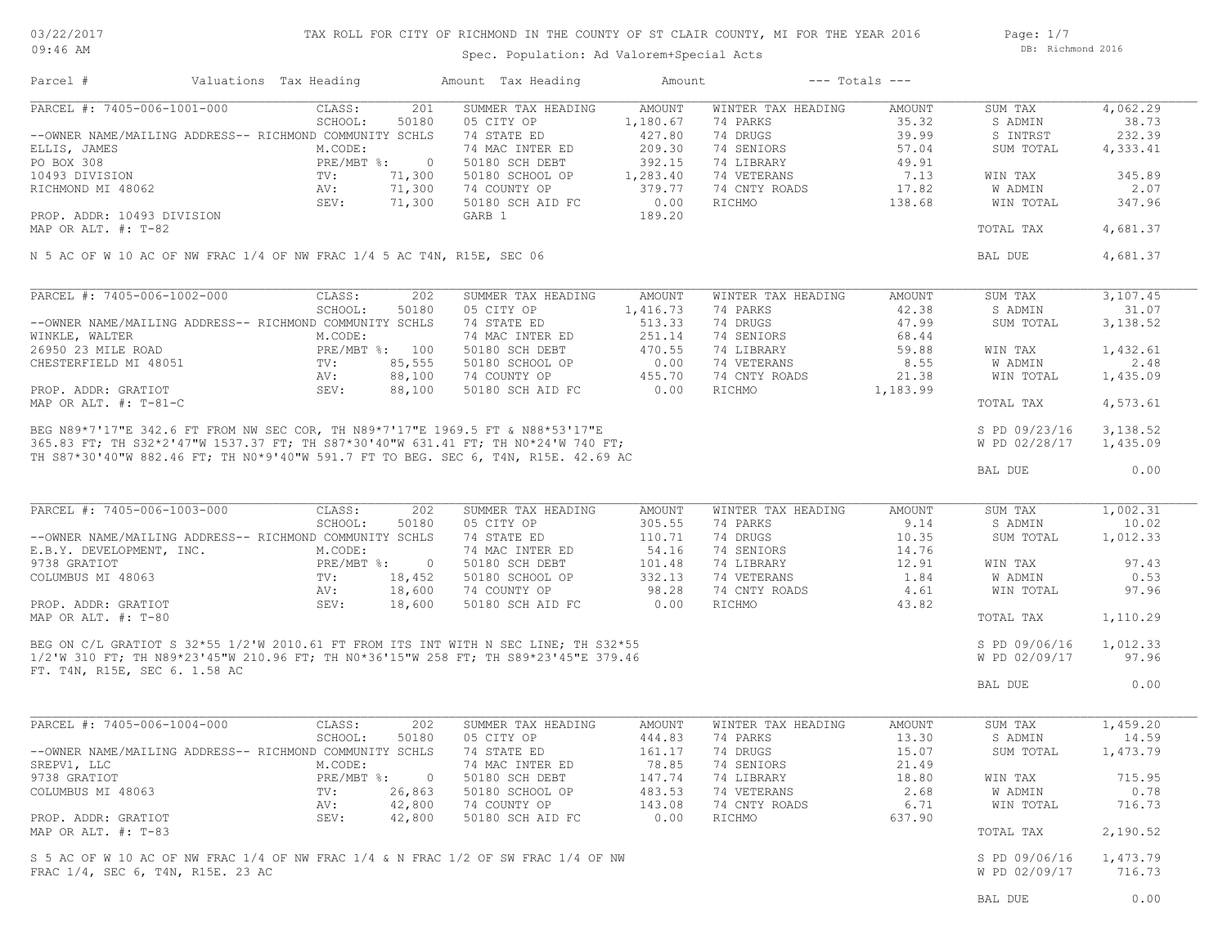03/22/2017 09:46 AM

## TAX ROLL FOR CITY OF RICHMOND IN THE COUNTY OF ST CLAIR COUNTY, MI FOR THE YEAR 2016

Spec. Population: Ad Valorem+Special Acts

Page: 1/7 DB: Richmond 2016

| Parcel #                                                               |         | Valuations Tax Heading |                  | Amount Tax Heading                                                                                                                                                                                  | Amount           |                                | $---$ Totals $---$ |                      |                   |
|------------------------------------------------------------------------|---------|------------------------|------------------|-----------------------------------------------------------------------------------------------------------------------------------------------------------------------------------------------------|------------------|--------------------------------|--------------------|----------------------|-------------------|
| PARCEL #: 7405-006-1001-000                                            |         | CLASS:                 | 201              | SUMMER TAX HEADING                                                                                                                                                                                  | AMOUNT           | WINTER TAX HEADING             | AMOUNT             | SUM TAX              | 4,062.29          |
|                                                                        |         | SCHOOL:                | 50180            | 05 CITY OP                                                                                                                                                                                          | 1,180.67         | 74 PARKS                       | 35.32              | S ADMIN              | 38.73             |
| --OWNER NAME/MAILING ADDRESS-- RICHMOND COMMUNITY SCHLS                |         |                        |                  | 74 STATE ED                                                                                                                                                                                         | 427.80           | 74 DRUGS                       | 39.99              | S INTRST             | 232.39            |
| ELLIS, JAMES                                                           |         | M.CODE:                |                  | 74 MAC INTER ED                                                                                                                                                                                     | 209.30           | 74 SENIORS                     | 57.04              | SUM TOTAL            | 4,333.41          |
| PO BOX 308                                                             |         | PRE/MBT %: 0           |                  | 50180 SCH DEBT                                                                                                                                                                                      | 392.15           | 74 LIBRARY                     | 49.91              |                      |                   |
| 10493 DIVISION                                                         |         | $\text{TV}$ :          | 71,300           | 50180 SCHOOL OP                                                                                                                                                                                     | 1,283.40         | 74 VETERANS                    | 7.13               | WIN TAX              | 345.89            |
| RICHMOND MI 48062                                                      |         | AV:<br>SEV:            | 71,300<br>71,300 | 74 COUNTY OP<br>50180 SCH AID FC                                                                                                                                                                    | 379.77<br>0.00   | 74 CNTY ROADS<br>RICHMO        | 17.82<br>138.68    | W ADMIN<br>WIN TOTAL | 2.07<br>347.96    |
| PROP. ADDR: 10493 DIVISION                                             |         |                        |                  | GARB 1                                                                                                                                                                                              | 189.20           |                                |                    |                      |                   |
| MAP OR ALT. #: T-82                                                    |         |                        |                  |                                                                                                                                                                                                     |                  |                                |                    | TOTAL TAX            | 4,681.37          |
| N 5 AC OF W 10 AC OF NW FRAC 1/4 OF NW FRAC 1/4 5 AC T4N, R15E, SEC 06 |         |                        |                  |                                                                                                                                                                                                     |                  |                                |                    | BAL DUE              | 4,681.37          |
|                                                                        |         |                        |                  |                                                                                                                                                                                                     |                  |                                |                    |                      |                   |
| PARCEL #: 7405-006-1002-000                                            |         | CLASS:                 | 202              | SUMMER TAX HEADING                                                                                                                                                                                  | AMOUNT           | WINTER TAX HEADING             | AMOUNT             | SUM TAX              | 3,107.45          |
|                                                                        |         | SCHOOL:                | 50180            | 05 CITY OP                                                                                                                                                                                          | 1,416.73         | 74 PARKS                       | 42.38              | S ADMIN              | 31.07             |
| --OWNER NAME/MAILING ADDRESS-- RICHMOND COMMUNITY SCHLS                |         |                        |                  | 74 STATE ED                                                                                                                                                                                         | 513.33           | 74 DRUGS                       | 47.99              | SUM TOTAL            | 3,138.52          |
|                                                                        |         | M.CODE:                |                  | 74 MAC INTER ED                                                                                                                                                                                     | 251.14           | 74 SENIORS                     | 68.44              |                      |                   |
| WINKLE, WALTER<br>26950 23 MILE ROAD<br>CHESTERFIELD MI 48051          |         | PRE/MBT %: 100         |                  | 50180 SCH DEBT                                                                                                                                                                                      | 470.55           | 74 LIBRARY                     | 59.88              | WIN TAX              | 1,432.61          |
|                                                                        |         | $\text{TV}$ :          | 85,555           | 50180 SCHOOL OP                                                                                                                                                                                     | 0.00             | 74 VETERANS                    | 8.55               | W ADMIN              | 2.48              |
|                                                                        |         | AV:                    | 88,100           | 74 COUNTY OP                                                                                                                                                                                        | 455.70           | 74 CNTY ROADS                  | 21.38              | WIN TOTAL            | 1,435.09          |
| PROP. ADDR: GRATIOT                                                    |         | SEV:                   | 88,100           | 50180 SCH AID FC                                                                                                                                                                                    | 0.00             | RICHMO                         | 1,183.99           | TOTAL TAX            | 4,573.61          |
|                                                                        |         |                        |                  |                                                                                                                                                                                                     |                  |                                |                    |                      |                   |
|                                                                        |         |                        |                  |                                                                                                                                                                                                     |                  |                                |                    | S PD 09/23/16        | 3,138.52          |
|                                                                        |         |                        |                  |                                                                                                                                                                                                     |                  |                                |                    | W PD 02/28/17        | 1,435.09          |
|                                                                        |         |                        |                  |                                                                                                                                                                                                     |                  |                                |                    |                      |                   |
|                                                                        |         |                        |                  |                                                                                                                                                                                                     |                  |                                |                    | BAL DUE              | 0.00              |
|                                                                        |         |                        |                  |                                                                                                                                                                                                     |                  |                                |                    |                      |                   |
| PARCEL #: 7405-006-1003-000                                            |         | CLASS:<br>SCHOOL:      | 202<br>50180     | SUMMER TAX HEADING<br>05 CITY OP                                                                                                                                                                    | AMOUNT<br>305.55 | WINTER TAX HEADING<br>74 PARKS | AMOUNT<br>9.14     | SUM TAX              | 1,002.31<br>10.02 |
| --OWNER NAME/MAILING ADDRESS-- RICHMOND COMMUNITY SCHLS                |         |                        |                  | 74 STATE ED                                                                                                                                                                                         | 110.71           | 74 DRUGS                       | 10.35              | S ADMIN<br>SUM TOTAL | 1,012.33          |
| E.B.Y. DEVELOPMENT, INC.                                               |         | M.CODE:                |                  | 74 MAC INTER ED                                                                                                                                                                                     | 54.16            | 74 SENIORS                     | 14.76              |                      |                   |
| 9738 GRATIOT                                                           |         | PRE/MBT %: 0           |                  |                                                                                                                                                                                                     | 101.48           | 74 LIBRARY                     | 12.91              |                      | 97.43             |
| COLUMBUS MI 48063                                                      |         |                        |                  | 50180 SCH DEBT                                                                                                                                                                                      | 332.13           |                                | 1.84               | WIN TAX<br>W ADMIN   | 0.53              |
|                                                                        |         | $\text{TV}$ :          | 18,452           | 50180 SCHOOL OP                                                                                                                                                                                     |                  | 74 VETERANS                    |                    |                      |                   |
|                                                                        |         | AV:                    | 18,600           | 74 COUNTY OP                                                                                                                                                                                        | 98.28            | 74 CNTY ROADS                  | 4.61               | WIN TOTAL            | 97.96             |
| PROP. ADDR: GRATIOT                                                    |         | SEV:                   | 18,600           | 50180 SCH AID FC                                                                                                                                                                                    | 0.00             | RICHMO                         | 43.82              | TOTAL TAX            | 1,110.29          |
|                                                                        |         |                        |                  |                                                                                                                                                                                                     |                  |                                |                    |                      |                   |
|                                                                        |         |                        |                  |                                                                                                                                                                                                     |                  |                                |                    | S PD 09/06/16        | 1,012.33          |
|                                                                        |         |                        |                  | MAP OR ALT. #: T-80<br>BEG ON C/L GRATIOT S 32*55 1/2'W 2010.61 FT FROM ITS INT WITH N SEC LINE; TH S32*55<br>- '^ '' 210 Fm. TH N89*23'45"W 210.96 FT; TH N0*36'15"W 258 FT; TH S89*23'45"E 379.46 |                  |                                |                    | W PD 02/09/17        | 97.96             |
|                                                                        |         |                        |                  |                                                                                                                                                                                                     |                  |                                |                    | BAL DUE              | 0.00              |
|                                                                        |         |                        |                  |                                                                                                                                                                                                     |                  |                                |                    |                      |                   |
| PARCEL #: 7405-006-1004-000                                            |         | CLASS:                 | 202              | SUMMER TAX HEADING                                                                                                                                                                                  | AMOUNT           | WINTER TAX HEADING             | AMOUNT             | SUM TAX              | 1,459.20          |
|                                                                        |         | SCHOOL:                | 50180            | 05 CITY OP                                                                                                                                                                                          | 444.83           | 74 PARKS                       | 13.30              | S ADMIN              | 14.59             |
| --OWNER NAME/MAILING ADDRESS-- RICHMOND COMMUNITY SCHLS                |         |                        |                  | 74 STATE ED                                                                                                                                                                                         | 161.17           | 74 DRUGS                       | 15.07              | SUM TOTAL            | 1,473.79          |
| SREPV1, LLC                                                            | M.CODE: |                        |                  | 74 MAC INTER ED                                                                                                                                                                                     | 78.85            | 74 SENIORS                     | 21.49              |                      |                   |
| 9738 GRATIOT                                                           |         | $PRE/MBT$ $\div$ :     | $\circ$          | 50180 SCH DEBT                                                                                                                                                                                      | 147.74           | 74 LIBRARY                     | 18.80              | WIN TAX              | 715.95            |
| COLUMBUS MI 48063                                                      |         | TV:                    | 26,863           | 50180 SCHOOL OP                                                                                                                                                                                     | 483.53           | 74 VETERANS                    | 2.68               | W ADMIN              | 0.78              |
|                                                                        |         | AV:                    | 42,800           | 74 COUNTY OP                                                                                                                                                                                        | 143.08           | 74 CNTY ROADS                  | 6.71               | WIN TOTAL            | 716.73            |
| PROP. ADDR: GRATIOT                                                    |         | SEV:                   | 42,800           | 50180 SCH AID FC                                                                                                                                                                                    | 0.00             | RICHMO                         | 637.90             |                      |                   |
| MAP OR ALT. #: T-83                                                    |         |                        |                  |                                                                                                                                                                                                     |                  |                                |                    | TOTAL TAX            | 2,190.52          |
|                                                                        |         |                        |                  |                                                                                                                                                                                                     |                  |                                |                    |                      |                   |
|                                                                        |         |                        |                  | S 5 AC OF W 10 AC OF NW FRAC 1/4 OF NW FRAC 1/4 & N FRAC 1/2 OF SW FRAC 1/4 OF NW                                                                                                                   |                  |                                |                    | S PD 09/06/16        | 1,473.79          |
| FRAC 1/4, SEC 6, T4N, R15E. 23 AC                                      |         |                        |                  |                                                                                                                                                                                                     |                  |                                |                    | W PD 02/09/17        | 716.73            |
|                                                                        |         |                        |                  |                                                                                                                                                                                                     |                  |                                |                    |                      |                   |
|                                                                        |         |                        |                  |                                                                                                                                                                                                     |                  |                                |                    | BAL DUE              | 0.00              |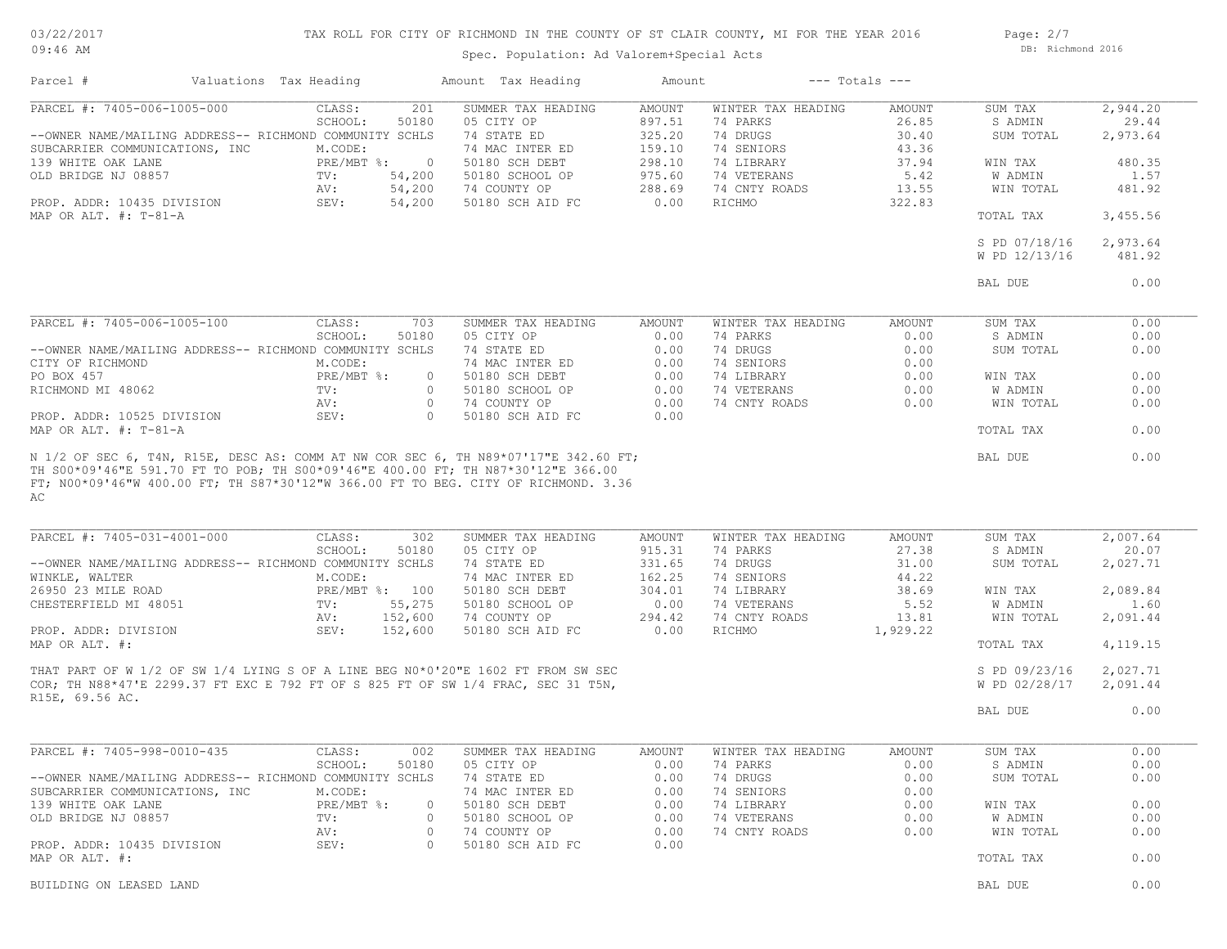03/22/2017 09:46 AM

## TAX ROLL FOR CITY OF RICHMOND IN THE COUNTY OF ST CLAIR COUNTY, MI FOR THE YEAR 2016

Spec. Population: Ad Valorem+Special Acts

Page: 2/7 DB: Richmond 2016

| Parcel #                                                | Valuations Tax Heading |                                              | Amount Tax Heading                                                                 | Amount           |                                | $---$ Totals $---$ |                      |                   |
|---------------------------------------------------------|------------------------|----------------------------------------------|------------------------------------------------------------------------------------|------------------|--------------------------------|--------------------|----------------------|-------------------|
| PARCEL #: 7405-006-1005-000                             |                        | CLASS:<br>201                                | SUMMER TAX HEADING                                                                 | AMOUNT           | WINTER TAX HEADING             | AMOUNT             | SUM TAX              | 2,944.20          |
|                                                         |                        | 50180<br>SCHOOL:                             | 05 CITY OP                                                                         | 897.51           | 74 PARKS                       | 26.85              | S ADMIN              | 29.44             |
| --OWNER NAME/MAILING ADDRESS-- RICHMOND COMMUNITY SCHLS |                        |                                              | 74 STATE ED                                                                        | 325.20           | 74 DRUGS                       | 30.40              | SUM TOTAL            | 2,973.64          |
| SUBCARRIER COMMUNICATIONS, INC                          |                        | M.CODE:                                      | 74 MAC INTER ED                                                                    | 159.10           | 74 SENIORS                     | 43.36              |                      |                   |
| 139 WHITE OAK LANE                                      |                        | $PRE/MBT$ $\div$<br>$\overline{\phantom{0}}$ | 50180 SCH DEBT                                                                     | 298.10           | 74 LIBRARY                     | 37.94              | WIN TAX              | 480.35            |
| OLD BRIDGE NJ 08857                                     |                        | TV:<br>54,200<br>54,200<br>AV:               | 50180 SCHOOL OP                                                                    | 975.60<br>288.69 | 74 VETERANS<br>74 CNTY ROADS   | 5.42               | W ADMIN<br>WIN TOTAL | 1.57<br>481.92    |
| PROP. ADDR: 10435 DIVISION                              |                        | SEV:<br>54,200                               | 74 COUNTY OP<br>50180 SCH AID FC                                                   | 0.00             | RICHMO                         | 13.55<br>322.83    |                      |                   |
| MAP OR ALT. $\#$ : T-81-A                               |                        |                                              |                                                                                    |                  |                                |                    | TOTAL TAX            | 3,455.56          |
|                                                         |                        |                                              |                                                                                    |                  |                                |                    | S PD 07/18/16        | 2,973.64          |
|                                                         |                        |                                              |                                                                                    |                  |                                |                    | W PD 12/13/16        | 481.92            |
|                                                         |                        |                                              |                                                                                    |                  |                                |                    |                      |                   |
|                                                         |                        |                                              |                                                                                    |                  |                                |                    | BAL DUE              | 0.00              |
| PARCEL #: 7405-006-1005-100                             |                        | CLASS:<br>703                                | SUMMER TAX HEADING                                                                 | AMOUNT           | WINTER TAX HEADING             | AMOUNT             | SUM TAX              | 0.00              |
|                                                         |                        | SCHOOL:<br>50180                             | 05 CITY OP                                                                         | 0.00             | 74 PARKS                       | 0.00               | S ADMIN              | 0.00              |
| --OWNER NAME/MAILING ADDRESS-- RICHMOND COMMUNITY SCHLS |                        |                                              | 74 STATE ED                                                                        | 0.00             | 74 DRUGS                       | 0.00               | SUM TOTAL            | 0.00              |
| CITY OF RICHMOND                                        |                        | M.CODE:                                      | 74 MAC INTER ED                                                                    | 0.00             | 74 SENIORS                     | 0.00               |                      |                   |
| PO BOX 457                                              |                        | $PRE/MBT$ $\div$<br>$\circ$                  | 50180 SCH DEBT                                                                     | 0.00             | 74 LIBRARY                     | 0.00               | WIN TAX              | 0.00              |
| RICHMOND MI 48062                                       |                        | TV:<br>$\circ$                               | 50180 SCHOOL OP                                                                    | 0.00             | 74 VETERANS                    | 0.00               | W ADMIN              | 0.00              |
|                                                         |                        | AV:<br>$\circ$                               | 74 COUNTY OP                                                                       | 0.00             | 74 CNTY ROADS                  | 0.00               | WIN TOTAL            | 0.00              |
| PROP. ADDR: 10525 DIVISION                              |                        | SEV:<br>$\circ$                              | 50180 SCH AID FC                                                                   | 0.00             |                                |                    |                      |                   |
| MAP OR ALT. #: T-81-A                                   |                        |                                              |                                                                                    |                  |                                |                    | TOTAL TAX            | 0.00              |
| AC                                                      |                        |                                              | FT; N00*09'46"W 400.00 FT; TH S87*30'12"W 366.00 FT TO BEG. CITY OF RICHMOND. 3.36 |                  |                                |                    |                      |                   |
| PARCEL #: 7405-031-4001-000                             |                        | 302<br>CLASS:<br>SCHOOL:<br>50180            | SUMMER TAX HEADING<br>05 CITY OP                                                   | AMOUNT<br>915.31 | WINTER TAX HEADING<br>74 PARKS | AMOUNT<br>27.38    | SUM TAX<br>S ADMIN   | 2,007.64<br>20.07 |
| --OWNER NAME/MAILING ADDRESS-- RICHMOND COMMUNITY SCHLS |                        |                                              | 74 STATE ED                                                                        | 331.65           | 74 DRUGS                       | 31.00              | SUM TOTAL            | 2,027.71          |
| WINKLE, WALTER                                          |                        | M.CODE:                                      | 74 MAC INTER ED                                                                    | 162.25           | 74 SENIORS                     | 44.22              |                      |                   |
| 26950 23 MILE ROAD                                      |                        | PRE/MBT %: 100                               | 50180 SCH DEBT                                                                     | 304.01           | 74 LIBRARY                     | 38.69              | WIN TAX              | 2,089.84          |
| CHESTERFIELD MI 48051                                   |                        | TV:<br>55,275                                | 50180 SCHOOL OP                                                                    | 0.00             | 74 VETERANS                    | 5.52               | W ADMIN              | 1.60              |
|                                                         |                        | 152,600<br>AV:                               | 74 COUNTY OP                                                                       | 294.42           | 74 CNTY ROADS                  | 13.81              | WIN TOTAL            | 2,091.44          |
| PROP. ADDR: DIVISION<br>MAP OR ALT. #:                  |                        | 152,600<br>SEV:                              | 50180 SCH AID FC                                                                   | 0.00             | RICHMO                         | 1,929.22           | TOTAL TAX            | 4,119.15          |
|                                                         |                        |                                              |                                                                                    |                  |                                |                    |                      |                   |
|                                                         |                        |                                              | THAT PART OF W 1/2 OF SW 1/4 LYING S OF A LINE BEG N0*0'20"E 1602 FT FROM SW SEC   |                  |                                |                    | S PD 09/23/16        | 2,027.71          |
|                                                         |                        |                                              | COR; TH N88*47'E 2299.37 FT EXC E 792 FT OF S 825 FT OF SW 1/4 FRAC, SEC 31 T5N,   |                  |                                |                    | W PD 02/28/17        | 2,091.44          |
| R15E, 69.56 AC.                                         |                        |                                              |                                                                                    |                  |                                |                    | BAL DUE              | 0.00              |
|                                                         |                        |                                              |                                                                                    |                  |                                |                    |                      |                   |
| PARCEL #: 7405-998-0010-435                             |                        | CLASS:<br>002                                | SUMMER TAX HEADING                                                                 | AMOUNT           | WINTER TAX HEADING             | AMOUNT             | SUM TAX              | 0.00              |
|                                                         |                        | SCHOOL:<br>50180                             | 05 CITY OP                                                                         |                  | 0.00 74 PARKS                  | 0.00               | S ADMIN              | 0.00              |
| --OWNER NAME/MAILING ADDRESS-- RICHMOND COMMUNITY SCHLS |                        |                                              | 74 STATE ED                                                                        | 0.00             | 74 DRUGS                       | 0.00               | SUM TOTAL            | 0.00              |
| SUBCARRIER COMMUNICATIONS, INC                          |                        | M.CODE:                                      | 74 MAC INTER ED                                                                    | 0.00             | 74 SENIORS                     | 0.00               |                      |                   |
| 139 WHITE OAK LANE                                      |                        | PRE/MBT %:<br>0                              | 50180 SCH DEBT                                                                     | 0.00             | 74 LIBRARY                     | 0.00               | WIN TAX              | 0.00              |
| OLD BRIDGE NJ 08857                                     |                        | TV:<br>0                                     | 50180 SCHOOL OP                                                                    | 0.00             | 74 VETERANS                    | 0.00               | W ADMIN              | 0.00              |
|                                                         |                        | AV:<br>$\circ$                               | 74 COUNTY OP                                                                       | 0.00             | 74 CNTY ROADS                  | 0.00               | WIN TOTAL            | 0.00              |
| PROP. ADDR: 10435 DIVISION<br>MAP OR ALT. #:            |                        | SEV:<br>0                                    | 50180 SCH AID FC                                                                   | 0.00             |                                |                    | TOTAL TAX            | 0.00              |
|                                                         |                        |                                              |                                                                                    |                  |                                |                    |                      |                   |
| BUILDING ON LEASED LAND                                 |                        |                                              |                                                                                    |                  |                                |                    | BAL DUE              | 0.00              |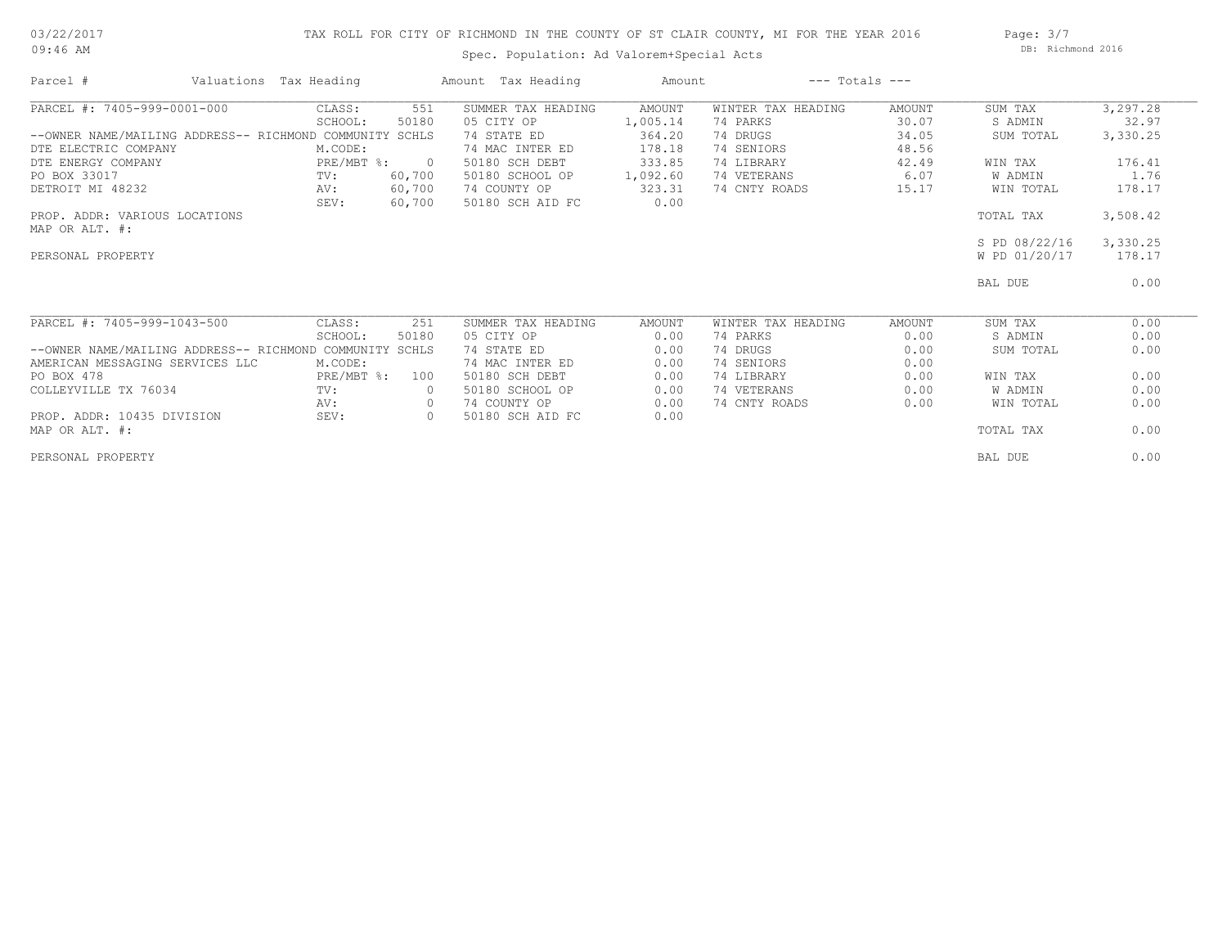## 03/22/2017 09:46 AM

## TAX ROLL FOR CITY OF RICHMOND IN THE COUNTY OF ST CLAIR COUNTY, MI FOR THE YEAR 2016

Spec. Population: Ad Valorem+Special Acts

Page: 3/7 DB: Richmond 2016

| Parcel #                                          | Valuations Tax Heading |                | Amount Tax Heading | Amount   |                    | $---$ Totals $---$ |               |          |
|---------------------------------------------------|------------------------|----------------|--------------------|----------|--------------------|--------------------|---------------|----------|
| PARCEL #: 7405-999-0001-000                       | CLASS:                 | 551            | SUMMER TAX HEADING | AMOUNT   | WINTER TAX HEADING | AMOUNT             | SUM TAX       | 3,297.28 |
|                                                   | SCHOOL:                | 50180          | 05 CITY OP         | 1,005.14 | 74 PARKS           | 30.07              | S ADMIN       | 32.97    |
| --OWNER NAME/MAILING ADDRESS-- RICHMOND COMMUNITY |                        | SCHLS          | 74 STATE ED        | 364.20   | 74 DRUGS           | 34.05              | SUM TOTAL     | 3,330.25 |
| DTE ELECTRIC COMPANY                              | M.CODE:                |                | 74 MAC INTER ED    | 178.18   | 74 SENIORS         | 48.56              |               |          |
| DTE ENERGY COMPANY                                | $PRE/MBT$ $\div$       | $\overline{0}$ | 50180 SCH DEBT     | 333.85   | 74 LIBRARY         | 42.49              | WIN TAX       | 176.41   |
| PO BOX 33017                                      | $\text{TV}$ :          | 60,700         | 50180 SCHOOL OP    | 1,092.60 | 74 VETERANS        | 6.07               | W ADMIN       | 1.76     |
| DETROIT MI 48232                                  | AV:                    | 60,700         | 74 COUNTY OP       | 323.31   | 74 CNTY ROADS      | 15.17              | WIN TOTAL     | 178.17   |
|                                                   | SEV:                   | 60,700         | 50180 SCH AID FC   | 0.00     |                    |                    |               |          |
| PROP. ADDR: VARIOUS LOCATIONS                     |                        |                |                    |          |                    |                    | TOTAL TAX     | 3,508.42 |
| MAP OR ALT. #:                                    |                        |                |                    |          |                    |                    |               |          |
|                                                   |                        |                |                    |          |                    |                    | S PD 08/22/16 | 3,330.25 |
| PERSONAL PROPERTY                                 |                        |                |                    |          |                    |                    | W PD 01/20/17 | 178.17   |
|                                                   |                        |                |                    |          |                    |                    |               |          |
|                                                   |                        |                |                    |          |                    |                    | BAL DUE       | 0.00     |
|                                                   |                        |                |                    |          |                    |                    |               |          |
| PARCEL #: 7405-999-1043-500                       | CLASS:                 | 251            | SUMMER TAX HEADING | AMOUNT   | WINTER TAX HEADING | AMOUNT             | SUM TAX       | 0.00     |
|                                                   | SCHOOL:                | 50180          | 05 CITY OP         | 0.00     | 74 PARKS           | 0.00               | S ADMIN       | 0.00     |
| --OWNER NAME/MAILING ADDRESS-- RICHMOND COMMUNITY |                        | SCHLS          | 74 STATE ED        | 0.00     | 74 DRUGS           | 0.00               | SUM TOTAL     | 0.00     |
| AMERICAN MESSAGING SERVICES LLC                   | M.CODE:                |                | 74 MAC INTER ED    | 0.00     | 74 SENIORS         | 0.00               |               |          |
| PO BOX 478                                        | PRE/MBT %:             | 100            | 50180 SCH DEBT     | 0.00     | 74 LIBRARY         | 0.00               | WIN TAX       | 0.00     |
| COLLEYVILLE TX 76034                              | TV:                    | $\circ$        | 50180 SCHOOL OP    | 0.00     | 74 VETERANS        | 0.00               | W ADMIN       | 0.00     |
|                                                   | AV:                    | $\circ$        | 74 COUNTY OP       | 0.00     | 74 CNTY ROADS      | 0.00               | WIN TOTAL     | 0.00     |
| PROP. ADDR: 10435 DIVISION                        | SEV:                   | $\circ$        | 50180 SCH AID FC   | 0.00     |                    |                    |               |          |
| MAP OR ALT. #:                                    |                        |                |                    |          |                    |                    | TOTAL TAX     | 0.00     |
| PERSONAL PROPERTY                                 |                        |                |                    |          |                    |                    | BAL DUE       | 0.00     |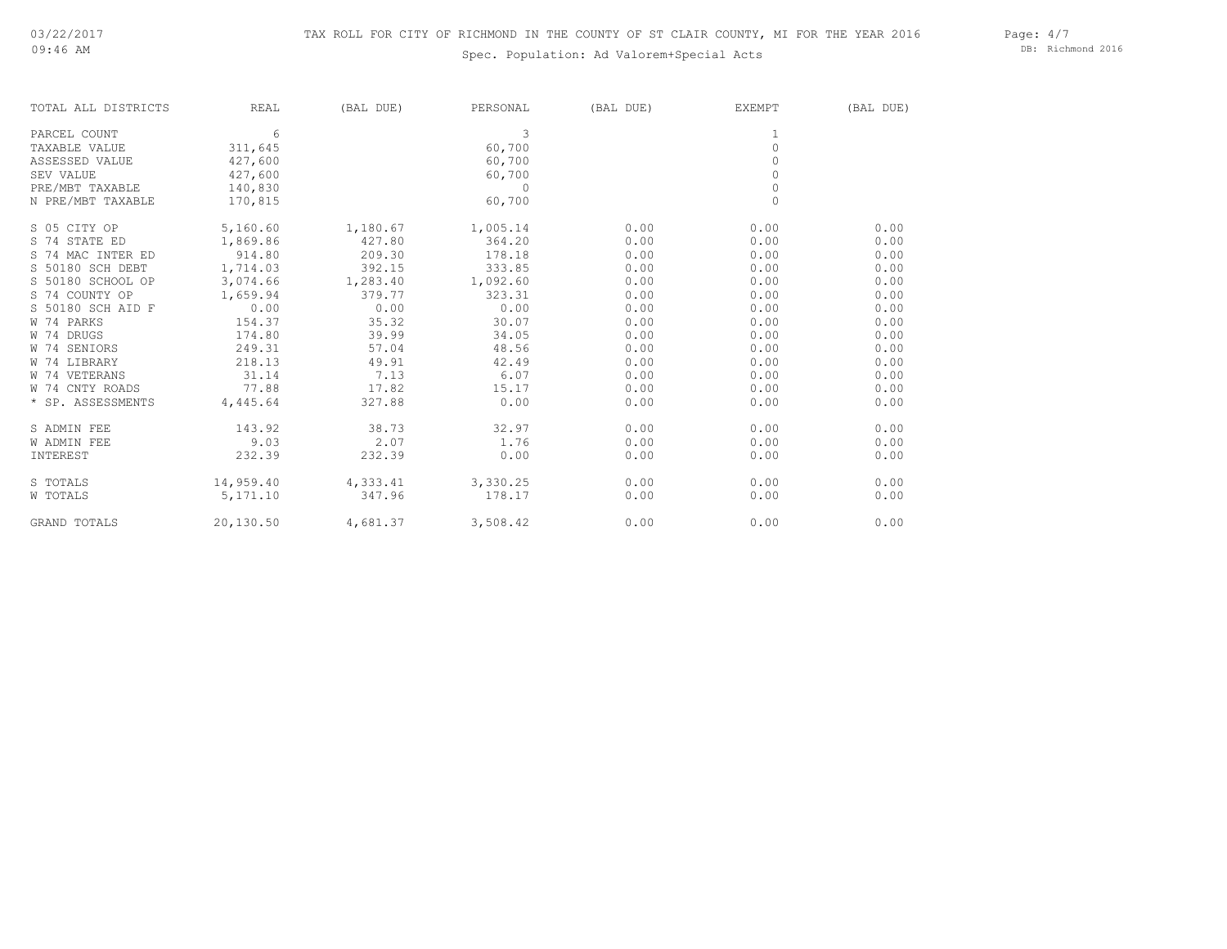## Spec. Population: Ad Valorem+Special Acts

Page: 4/7 DB: Richmond 2016

| TOTAL ALL DISTRICTS | REAL      | (BAL DUE) | PERSONAL | (BAL DUE) | EXEMPT       | (BAL DUE) |
|---------------------|-----------|-----------|----------|-----------|--------------|-----------|
| PARCEL COUNT        | 6         |           | 3        |           |              |           |
| TAXABLE VALUE       | 311,645   |           | 60,700   |           | $\circ$      |           |
| ASSESSED VALUE      | 427,600   |           | 60,700   |           | $\Omega$     |           |
| SEV VALUE           | 427,600   |           | 60,700   |           | $\mathbb O$  |           |
| PRE/MBT TAXABLE     | 140,830   |           | $\Omega$ |           | $\circ$      |           |
| N PRE/MBT TAXABLE   | 170,815   |           | 60,700   |           | $\mathbf{0}$ |           |
| S 05 CITY OP        | 5,160.60  | 1,180.67  | 1,005.14 | 0.00      | 0.00         | 0.00      |
| S 74 STATE ED       | 1,869.86  | 427.80    | 364.20   | 0.00      | 0.00         | 0.00      |
| S 74 MAC INTER ED   | 914.80    | 209.30    | 178.18   | 0.00      | 0.00         | 0.00      |
| S 50180 SCH DEBT    | 1,714.03  | 392.15    | 333.85   | 0.00      | 0.00         | 0.00      |
| S 50180 SCHOOL OP   | 3,074.66  | 1,283.40  | 1,092.60 | 0.00      | 0.00         | 0.00      |
| S 74 COUNTY OP      | 1,659.94  | 379.77    | 323.31   | 0.00      | 0.00         | 0.00      |
| S 50180 SCH AID F   | 0.00      | 0.00      | 0.00     | 0.00      | 0.00         | 0.00      |
| W 74 PARKS          | 154.37    | 35.32     | 30.07    | 0.00      | 0.00         | 0.00      |
| W 74 DRUGS          | 174.80    | 39.99     | 34.05    | 0.00      | 0.00         | 0.00      |
| W 74 SENIORS        | 249.31    | 57.04     | 48.56    | 0.00      | 0.00         | 0.00      |
| W 74 LIBRARY        | 218.13    | 49.91     | 42.49    | 0.00      | 0.00         | 0.00      |
| W 74 VETERANS       | 31.14     | 7.13      | 6.07     | 0.00      | 0.00         | 0.00      |
| W 74 CNTY ROADS     | 77.88     | 17.82     | 15.17    | 0.00      | 0.00         | 0.00      |
| * SP. ASSESSMENTS   | 4,445.64  | 327.88    | 0.00     | 0.00      | 0.00         | 0.00      |
| S ADMIN FEE         | 143.92    | 38.73     | 32.97    | 0.00      | 0.00         | 0.00      |
| <b>W ADMIN FEE</b>  | 9.03      | 2.07      | 1.76     | 0.00      | 0.00         | 0.00      |
| INTEREST            | 232.39    | 232.39    | 0.00     | 0.00      | 0.00         | 0.00      |
| S TOTALS            | 14,959.40 | 4,333.41  | 3,330.25 | 0.00      | 0.00         | 0.00      |
| W TOTALS            | 5,171.10  | 347.96    | 178.17   | 0.00      | 0.00         | 0.00      |
| <b>GRAND TOTALS</b> | 20,130.50 | 4,681.37  | 3,508.42 | 0.00      | 0.00         | 0.00      |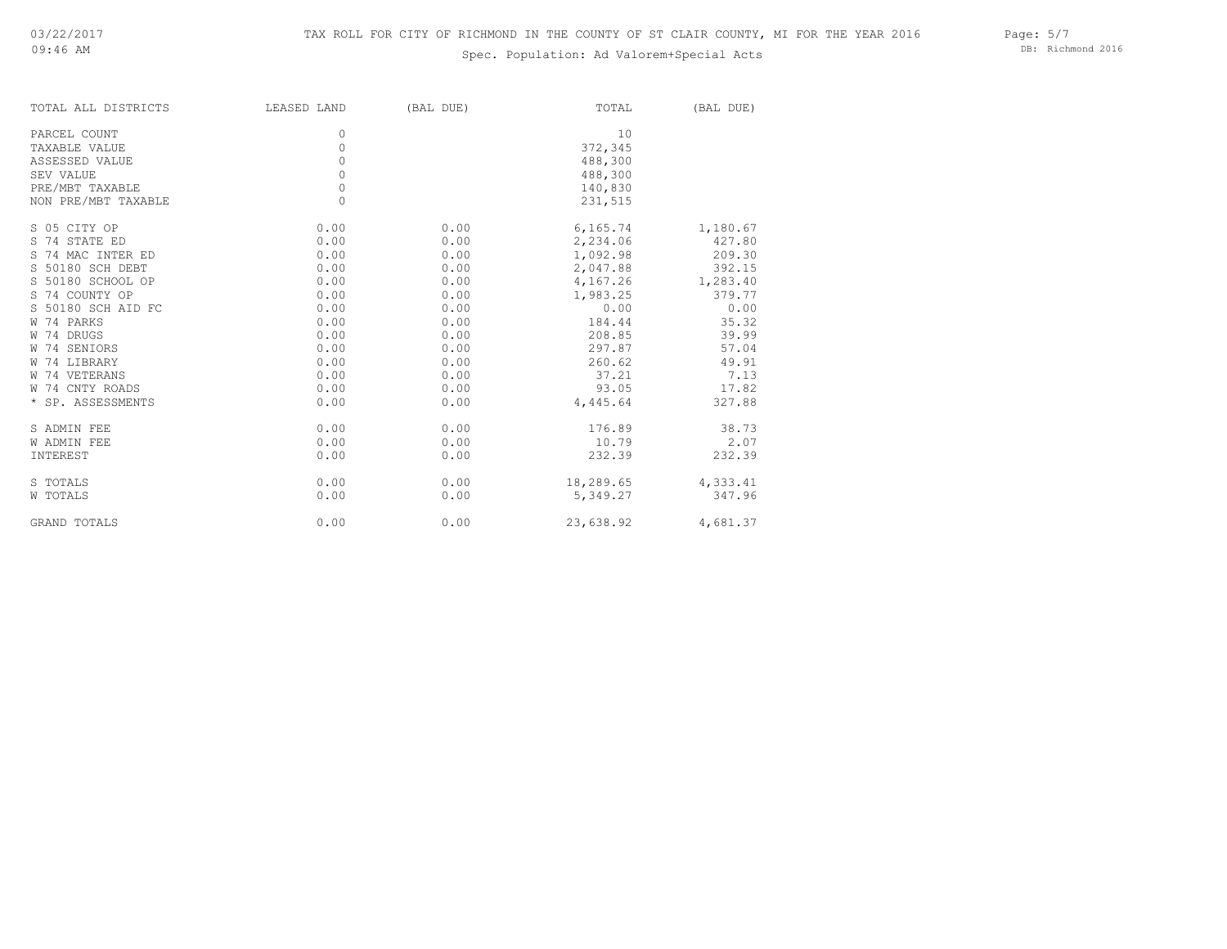## Spec. Population: Ad Valorem+Special Acts

DB: Richmond 2016

| TOTAL ALL DISTRICTS | LEASED LAND | (BAL DUE) | TOTAL     | (BAL DUE) |
|---------------------|-------------|-----------|-----------|-----------|
| PARCEL COUNT        | 0           |           | 10        |           |
| TAXABLE VALUE       | $\circ$     |           | 372,345   |           |
| ASSESSED VALUE      | $\circ$     |           | 488,300   |           |
| SEV VALUE           | $\circ$     |           | 488,300   |           |
| PRE/MBT TAXABLE     | $\circ$     |           | 140,830   |           |
| NON PRE/MBT TAXABLE | $\circ$     |           | 231,515   |           |
|                     |             |           |           |           |
| S 05 CITY OP        | 0.00        | 0.00      | 6,165.74  | 1,180.67  |
| S 74 STATE ED       | 0.00        | 0.00      | 2,234.06  | 427.80    |
| S 74 MAC INTER ED   | 0.00        | 0.00      | 1,092.98  | 209.30    |
| S 50180 SCH DEBT    | 0.00        | 0.00      | 2,047.88  | 392.15    |
| S 50180 SCHOOL OP   | 0.00        | 0.00      | 4,167.26  | 1,283.40  |
| S 74 COUNTY OP      | 0.00        | 0.00      | 1,983.25  | 379.77    |
| S 50180 SCH AID FC  | 0.00        | 0.00      | 0.00      | 0.00      |
| W 74 PARKS          | 0.00        | 0.00      | 184.44    | 35.32     |
| W 74 DRUGS          | 0.00        | 0.00      | 208.85    | 39.99     |
| W 74 SENIORS        | 0.00        | 0.00      | 297.87    | 57.04     |
| W 74 LIBRARY        | 0.00        | 0.00      | 260.62    | 49.91     |
| W 74 VETERANS       | 0.00        | 0.00      | 37.21     | 7.13      |
| W 74 CNTY ROADS     | 0.00        | 0.00      | 93.05     | 17.82     |
| * SP. ASSESSMENTS   | 0.00        | 0.00      | 4,445.64  | 327.88    |
| S ADMIN FEE         | 0.00        | 0.00      | 176.89    | 38.73     |
| <b>W ADMIN FEE</b>  | 0.00        | 0.00      | 10.79     | 2.07      |
| INTEREST            | 0.00        | 0.00      | 232.39    | 232.39    |
| S TOTALS            | 0.00        | 0.00      | 18,289.65 | 4,333.41  |
| W TOTALS            | 0.00        | 0.00      | 5,349.27  | 347.96    |
|                     |             |           |           |           |
| <b>GRAND TOTALS</b> | 0.00        | 0.00      | 23,638.92 | 4,681.37  |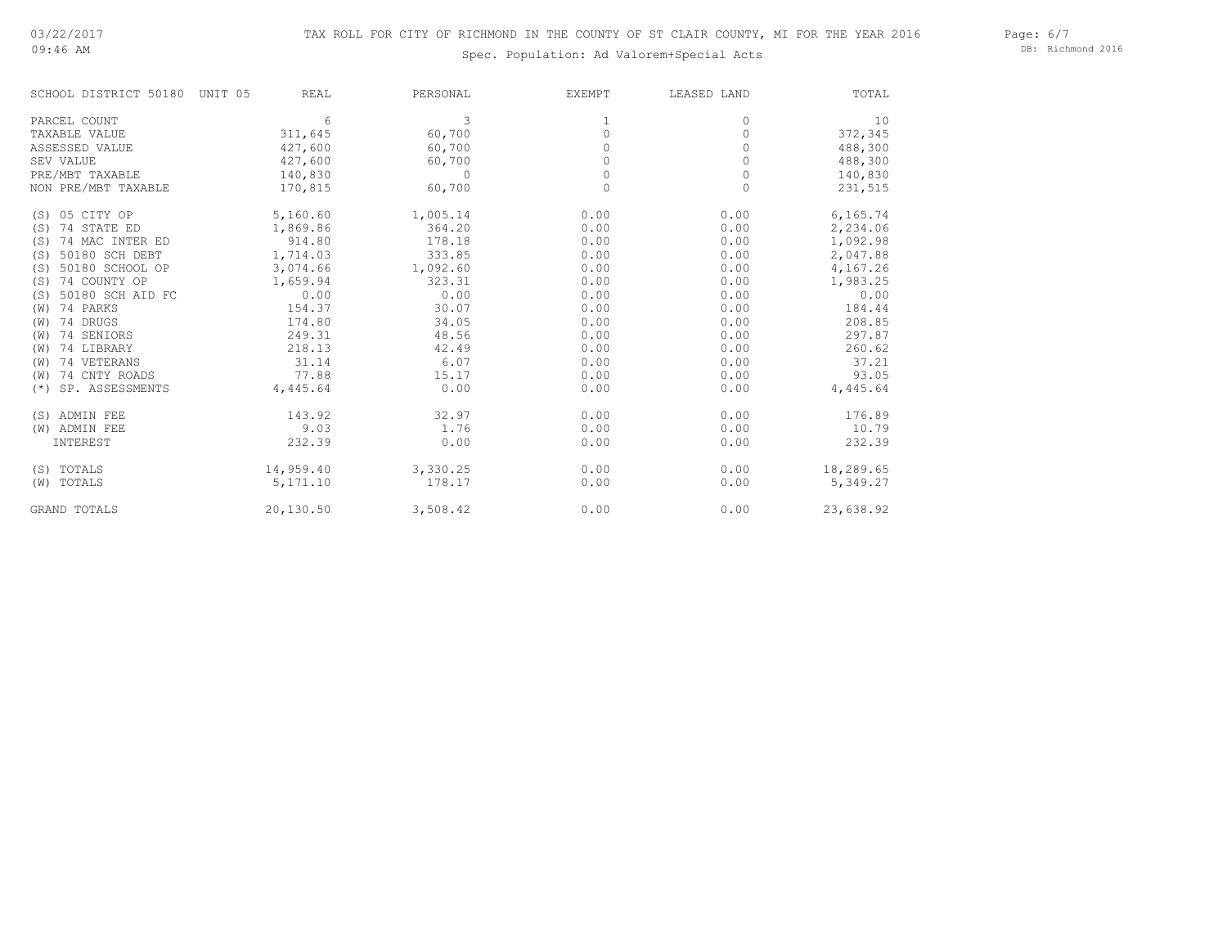09:46 AM

# Spec. Population: Ad Valorem+Special Acts

Page: 6/7 DB: Richmond 2016

| SCHOOL DISTRICT 50180     | <b>REAL</b><br>UNIT 05 | PERSONAL | <b>EXEMPT</b> | LEASED LAND | TOTAL     |
|---------------------------|------------------------|----------|---------------|-------------|-----------|
| PARCEL COUNT              | 6                      | 3        | 1             | $\Omega$    | 10        |
| TAXABLE VALUE             | 311,645                | 60,700   | $\Omega$      | $\Omega$    | 372,345   |
| ASSESSED VALUE            | 427,600                | 60,700   | 0             | 0           | 488,300   |
| SEV VALUE                 | 427,600                | 60,700   | 0             | $\Omega$    | 488,300   |
| PRE/MBT TAXABLE           | 140,830                | $\Omega$ | $\Omega$      | $\Omega$    | 140,830   |
| NON PRE/MBT TAXABLE       | 170,815                | 60,700   | 0             | 0           | 231,515   |
| (S) 05 CITY OP            | 5,160.60               | 1,005.14 | 0.00          | 0.00        | 6,165.74  |
| 74 STATE ED<br>(S)        | 1,869.86               | 364.20   | 0.00          | 0.00        | 2,234.06  |
| 74 MAC INTER ED<br>(S)    | 914.80                 | 178.18   | 0.00          | 0.00        | 1,092.98  |
| 50180 SCH DEBT<br>(S)     | 1,714.03               | 333.85   | 0.00          | 0.00        | 2,047.88  |
| 50180 SCHOOL OP<br>(S)    | 3,074.66               | 1,092.60 | 0.00          | 0.00        | 4,167.26  |
| 74 COUNTY OP<br>(S)       | 1,659.94               | 323.31   | 0.00          | 0.00        | 1,983.25  |
| 50180 SCH AID FC<br>(S)   | 0.00                   | 0.00     | 0.00          | 0.00        | 0.00      |
| 74 PARKS<br>(W)           | 154.37                 | 30.07    | 0.00          | 0.00        | 184.44    |
| 74 DRUGS<br>(W)           | 174.80                 | 34.05    | 0.00          | 0.00        | 208.85    |
| 74 SENIORS<br>(W)         | 249.31                 | 48.56    | 0.00          | 0.00        | 297.87    |
| 74 LIBRARY<br>(W)         | 218.13                 | 42.49    | 0.00          | 0.00        | 260.62    |
| 74 VETERANS<br>(W)        | 31.14                  | 6.07     | 0.00          | 0.00        | 37.21     |
| 74 CNTY ROADS<br>(W)      | 77.88                  | 15.17    | 0.00          | 0.00        | 93.05     |
| SP. ASSESSMENTS<br>$(* )$ | 4,445.64               | 0.00     | 0.00          | 0.00        | 4,445.64  |
| (S) ADMIN FEE             | 143.92                 | 32.97    | 0.00          | 0.00        | 176.89    |
| (W) ADMIN FEE             | 9.03                   | 1.76     | 0.00          | 0.00        | 10.79     |
| INTEREST                  | 232.39                 | 0.00     | 0.00          | 0.00        | 232.39    |
| (S) TOTALS                | 14,959.40              | 3,330.25 | 0.00          | 0.00        | 18,289.65 |
| (W) TOTALS                | 5,171.10               | 178.17   | 0.00          | 0.00        | 5,349.27  |
| <b>GRAND TOTALS</b>       | 20,130.50              | 3,508.42 | 0.00          | 0.00        | 23,638.92 |